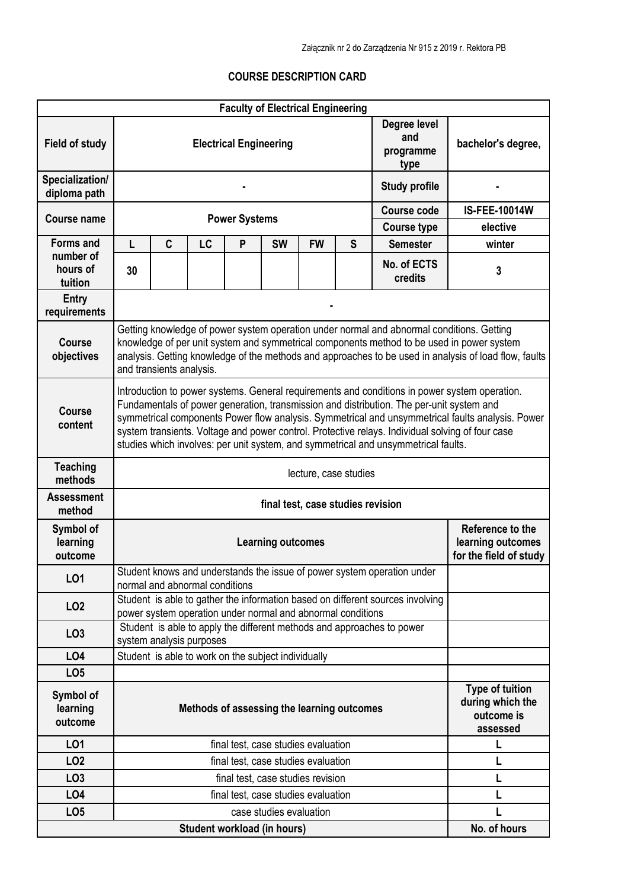## **COURSE DESCRIPTION CARD**

|                                           |                                                                                                                                                                                                                                                                                                                                                                                                                                                                                         |                                                                           |                                | <b>Faculty of Electrical Engineering</b>                    |                          |                                                        |              |                                                                                |                      |  |  |  |
|-------------------------------------------|-----------------------------------------------------------------------------------------------------------------------------------------------------------------------------------------------------------------------------------------------------------------------------------------------------------------------------------------------------------------------------------------------------------------------------------------------------------------------------------------|---------------------------------------------------------------------------|--------------------------------|-------------------------------------------------------------|--------------------------|--------------------------------------------------------|--------------|--------------------------------------------------------------------------------|----------------------|--|--|--|
| <b>Field of study</b>                     |                                                                                                                                                                                                                                                                                                                                                                                                                                                                                         | Degree level<br>and<br><b>Electrical Engineering</b><br>programme<br>type |                                |                                                             |                          |                                                        |              | bachelor's degree,                                                             |                      |  |  |  |
| Specialization/<br>diploma path           |                                                                                                                                                                                                                                                                                                                                                                                                                                                                                         |                                                                           |                                |                                                             |                          |                                                        |              | <b>Study profile</b>                                                           |                      |  |  |  |
| <b>Course name</b>                        |                                                                                                                                                                                                                                                                                                                                                                                                                                                                                         |                                                                           |                                | <b>Power Systems</b>                                        |                          |                                                        |              | <b>Course code</b>                                                             | <b>IS-FEE-10014W</b> |  |  |  |
|                                           |                                                                                                                                                                                                                                                                                                                                                                                                                                                                                         |                                                                           |                                |                                                             |                          |                                                        |              | <b>Course type</b>                                                             | elective             |  |  |  |
| <b>Forms and</b><br>number of<br>hours of | L<br>30                                                                                                                                                                                                                                                                                                                                                                                                                                                                                 | C                                                                         | LC                             | P                                                           | <b>SW</b>                | <b>FW</b>                                              | $\mathbf{s}$ | <b>Semester</b><br>No. of ECTS<br>credits                                      | winter<br>3          |  |  |  |
| tuition                                   |                                                                                                                                                                                                                                                                                                                                                                                                                                                                                         |                                                                           |                                |                                                             |                          |                                                        |              |                                                                                |                      |  |  |  |
| <b>Entry</b><br>requirements              |                                                                                                                                                                                                                                                                                                                                                                                                                                                                                         |                                                                           |                                |                                                             |                          |                                                        |              |                                                                                |                      |  |  |  |
| <b>Course</b><br>objectives               | Getting knowledge of power system operation under normal and abnormal conditions. Getting<br>knowledge of per unit system and symmetrical components method to be used in power system<br>analysis. Getting knowledge of the methods and approaches to be used in analysis of load flow, faults<br>and transients analysis.                                                                                                                                                             |                                                                           |                                |                                                             |                          |                                                        |              |                                                                                |                      |  |  |  |
| <b>Course</b><br>content                  | Introduction to power systems. General requirements and conditions in power system operation.<br>Fundamentals of power generation, transmission and distribution. The per-unit system and<br>symmetrical components Power flow analysis. Symmetrical and unsymmetrical faults analysis. Power<br>system transients. Voltage and power control. Protective relays. Individual solving of four case<br>studies which involves: per unit system, and symmetrical and unsymmetrical faults. |                                                                           |                                |                                                             |                          |                                                        |              |                                                                                |                      |  |  |  |
| <b>Teaching</b><br>methods                | lecture, case studies                                                                                                                                                                                                                                                                                                                                                                                                                                                                   |                                                                           |                                |                                                             |                          |                                                        |              |                                                                                |                      |  |  |  |
| <b>Assessment</b><br>method               | final test, case studies revision                                                                                                                                                                                                                                                                                                                                                                                                                                                       |                                                                           |                                |                                                             |                          |                                                        |              |                                                                                |                      |  |  |  |
| Symbol of<br>learning<br>outcome          |                                                                                                                                                                                                                                                                                                                                                                                                                                                                                         |                                                                           |                                |                                                             | <b>Learning outcomes</b> |                                                        |              | Reference to the<br>learning outcomes<br>for the field of study                |                      |  |  |  |
| L01                                       |                                                                                                                                                                                                                                                                                                                                                                                                                                                                                         |                                                                           | normal and abnormal conditions |                                                             |                          |                                                        |              | Student knows and understands the issue of power system operation under        |                      |  |  |  |
| LO <sub>2</sub>                           |                                                                                                                                                                                                                                                                                                                                                                                                                                                                                         |                                                                           |                                | power system operation under normal and abnormal conditions |                          |                                                        |              | Student is able to gather the information based on different sources involving |                      |  |  |  |
| LO <sub>3</sub>                           |                                                                                                                                                                                                                                                                                                                                                                                                                                                                                         |                                                                           | system analysis purposes       |                                                             |                          |                                                        |              | Student is able to apply the different methods and approaches to power         |                      |  |  |  |
| LO4                                       |                                                                                                                                                                                                                                                                                                                                                                                                                                                                                         |                                                                           |                                | Student is able to work on the subject individually         |                          |                                                        |              |                                                                                |                      |  |  |  |
| LO <sub>5</sub>                           |                                                                                                                                                                                                                                                                                                                                                                                                                                                                                         |                                                                           |                                |                                                             |                          |                                                        |              |                                                                                |                      |  |  |  |
| Symbol of<br>learning<br>outcome          | Methods of assessing the learning outcomes<br>outcome is                                                                                                                                                                                                                                                                                                                                                                                                                                |                                                                           |                                |                                                             |                          | <b>Type of tuition</b><br>during which the<br>assessed |              |                                                                                |                      |  |  |  |
| L01                                       |                                                                                                                                                                                                                                                                                                                                                                                                                                                                                         |                                                                           |                                | final test, case studies evaluation                         |                          |                                                        |              |                                                                                | L                    |  |  |  |
| LO <sub>2</sub>                           |                                                                                                                                                                                                                                                                                                                                                                                                                                                                                         |                                                                           |                                | final test, case studies evaluation                         |                          |                                                        |              |                                                                                | L                    |  |  |  |
| LO <sub>3</sub>                           |                                                                                                                                                                                                                                                                                                                                                                                                                                                                                         |                                                                           |                                | final test, case studies revision                           |                          |                                                        |              |                                                                                | L                    |  |  |  |
| LO4                                       |                                                                                                                                                                                                                                                                                                                                                                                                                                                                                         |                                                                           |                                | final test, case studies evaluation                         |                          |                                                        |              |                                                                                | L                    |  |  |  |
| LO <sub>5</sub>                           |                                                                                                                                                                                                                                                                                                                                                                                                                                                                                         |                                                                           |                                |                                                             | case studies evaluation  |                                                        |              |                                                                                |                      |  |  |  |
|                                           |                                                                                                                                                                                                                                                                                                                                                                                                                                                                                         |                                                                           |                                | Student workload (in hours)                                 |                          |                                                        |              |                                                                                | No. of hours         |  |  |  |